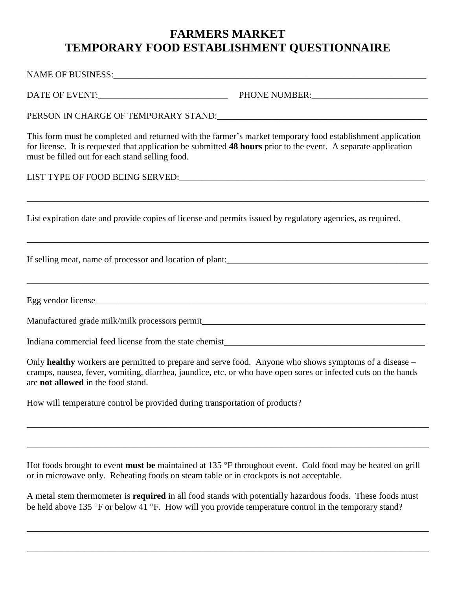## **FARMERS MARKET TEMPORARY FOOD ESTABLISHMENT QUESTIONNAIRE**

NAME OF BUSINESS:

DATE OF EVENT: THONE NUMBER:

PERSON IN CHARGE OF TEMPORARY STAND:\_\_\_\_\_\_\_\_\_\_\_\_\_\_\_\_\_\_\_\_\_\_\_\_\_\_\_\_\_\_\_\_\_\_\_\_\_\_\_\_\_\_\_\_\_\_\_

This form must be completed and returned with the farmer's market temporary food establishment application for license. It is requested that application be submitted **48 hours** prior to the event. A separate application must be filled out for each stand selling food.

\_\_\_\_\_\_\_\_\_\_\_\_\_\_\_\_\_\_\_\_\_\_\_\_\_\_\_\_\_\_\_\_\_\_\_\_\_\_\_\_\_\_\_\_\_\_\_\_\_\_\_\_\_\_\_\_\_\_\_\_\_\_\_\_\_\_\_\_\_\_\_\_\_\_\_\_\_\_\_\_\_\_\_\_\_\_\_\_\_\_

\_\_\_\_\_\_\_\_\_\_\_\_\_\_\_\_\_\_\_\_\_\_\_\_\_\_\_\_\_\_\_\_\_\_\_\_\_\_\_\_\_\_\_\_\_\_\_\_\_\_\_\_\_\_\_\_\_\_\_\_\_\_\_\_\_\_\_\_\_\_\_\_\_\_\_\_\_\_\_\_\_\_\_\_\_\_\_\_\_\_

LIST TYPE OF FOOD BEING SERVED:

List expiration date and provide copies of license and permits issued by regulatory agencies, as required.

If selling meat, name of processor and location of plant:

Egg vendor license

\_\_\_\_\_\_\_\_\_\_\_\_\_\_\_\_\_\_\_\_\_\_\_\_\_\_\_\_\_\_\_\_\_\_\_\_\_\_\_\_\_\_\_\_\_\_\_\_\_\_\_\_\_\_\_\_\_\_\_\_\_\_\_\_\_\_\_\_\_\_\_\_\_\_\_\_\_\_\_\_\_\_\_\_\_\_\_\_\_\_

Manufactured grade milk/milk processors permit\_\_\_\_\_\_\_\_\_\_\_\_\_\_\_\_\_\_\_\_\_\_\_\_\_\_\_\_\_\_\_\_\_\_

Indiana commercial feed license from the state chemist\_\_\_\_\_\_\_\_\_\_\_\_\_\_\_\_\_\_\_\_\_\_\_\_\_\_\_

Only **healthy** workers are permitted to prepare and serve food. Anyone who shows symptoms of a disease – cramps, nausea, fever, vomiting, diarrhea, jaundice, etc. or who have open sores or infected cuts on the hands are **not allowed** in the food stand.

How will temperature control be provided during transportation of products?

Hot foods brought to event **must be** maintained at 135 °F throughout event. Cold food may be heated on grill or in microwave only. Reheating foods on steam table or in crockpots is not acceptable.

\_\_\_\_\_\_\_\_\_\_\_\_\_\_\_\_\_\_\_\_\_\_\_\_\_\_\_\_\_\_\_\_\_\_\_\_\_\_\_\_\_\_\_\_\_\_\_\_\_\_\_\_\_\_\_\_\_\_\_\_\_\_\_\_\_\_\_\_\_\_\_\_\_\_\_\_\_\_\_\_\_\_\_\_\_\_\_\_\_\_

\_\_\_\_\_\_\_\_\_\_\_\_\_\_\_\_\_\_\_\_\_\_\_\_\_\_\_\_\_\_\_\_\_\_\_\_\_\_\_\_\_\_\_\_\_\_\_\_\_\_\_\_\_\_\_\_\_\_\_\_\_\_\_\_\_\_\_\_\_\_\_\_\_\_\_\_\_\_\_\_\_\_\_\_\_\_\_\_\_\_

A metal stem thermometer is **required** in all food stands with potentially hazardous foods. These foods must be held above 135 °F or below 41 °F. How will you provide temperature control in the temporary stand?

\_\_\_\_\_\_\_\_\_\_\_\_\_\_\_\_\_\_\_\_\_\_\_\_\_\_\_\_\_\_\_\_\_\_\_\_\_\_\_\_\_\_\_\_\_\_\_\_\_\_\_\_\_\_\_\_\_\_\_\_\_\_\_\_\_\_\_\_\_\_\_\_\_\_\_\_\_\_\_\_\_\_\_\_\_\_\_\_\_\_

\_\_\_\_\_\_\_\_\_\_\_\_\_\_\_\_\_\_\_\_\_\_\_\_\_\_\_\_\_\_\_\_\_\_\_\_\_\_\_\_\_\_\_\_\_\_\_\_\_\_\_\_\_\_\_\_\_\_\_\_\_\_\_\_\_\_\_\_\_\_\_\_\_\_\_\_\_\_\_\_\_\_\_\_\_\_\_\_\_\_